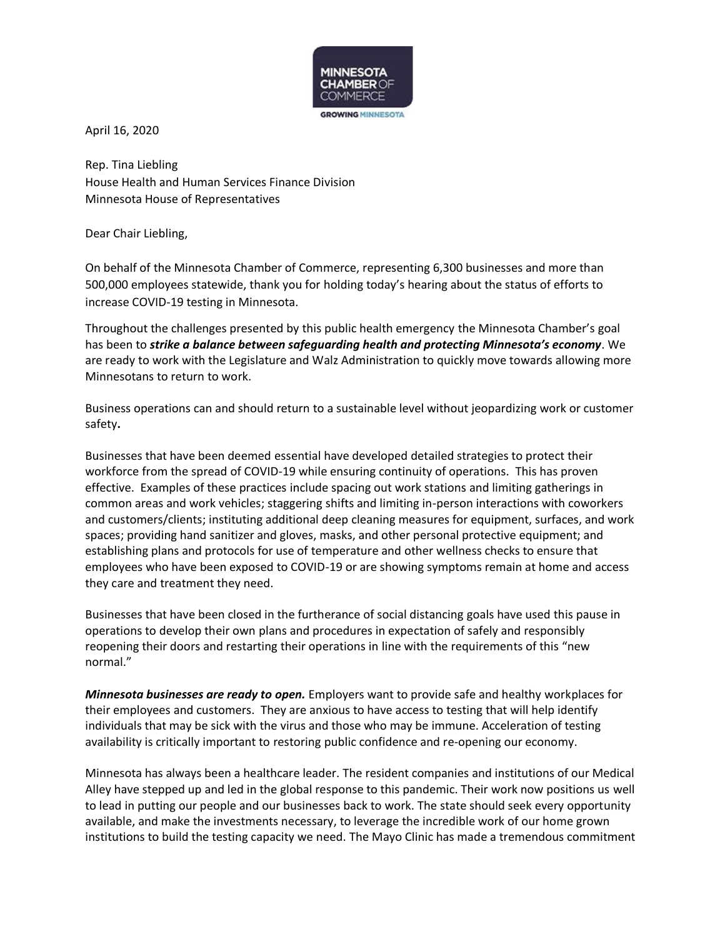

April 16, 2020

Rep. Tina Liebling House Health and Human Services Finance Division Minnesota House of Representatives

Dear Chair Liebling,

On behalf of the Minnesota Chamber of Commerce, representing 6,300 businesses and more than 500,000 employees statewide, thank you for holding today's hearing about the status of efforts to increase COVID-19 testing in Minnesota.

Throughout the challenges presented by this public health emergency the Minnesota Chamber's goal has been to *strike a balance between safeguarding health and protecting Minnesota's economy*. We are ready to work with the Legislature and Walz Administration to quickly move towards allowing more Minnesotans to return to work.

Business operations can and should return to a sustainable level without jeopardizing work or customer safety**.**

Businesses that have been deemed essential have developed detailed strategies to protect their workforce from the spread of COVID-19 while ensuring continuity of operations. This has proven effective. Examples of these practices include spacing out work stations and limiting gatherings in common areas and work vehicles; staggering shifts and limiting in-person interactions with coworkers and customers/clients; instituting additional deep cleaning measures for equipment, surfaces, and work spaces; providing hand sanitizer and gloves, masks, and other personal protective equipment; and establishing plans and protocols for use of temperature and other wellness checks to ensure that employees who have been exposed to COVID-19 or are showing symptoms remain at home and access they care and treatment they need.

Businesses that have been closed in the furtherance of social distancing goals have used this pause in operations to develop their own plans and procedures in expectation of safely and responsibly reopening their doors and restarting their operations in line with the requirements of this "new normal."

*Minnesota businesses are ready to open.* Employers want to provide safe and healthy workplaces for their employees and customers. They are anxious to have access to testing that will help identify individuals that may be sick with the virus and those who may be immune. Acceleration of testing availability is critically important to restoring public confidence and re-opening our economy.

Minnesota has always been a healthcare leader. The resident companies and institutions of our Medical Alley have stepped up and led in the global response to this pandemic. Their work now positions us well to lead in putting our people and our businesses back to work. The state should seek every opportunity available, and make the investments necessary, to leverage the incredible work of our home grown institutions to build the testing capacity we need. The Mayo Clinic has made a tremendous commitment